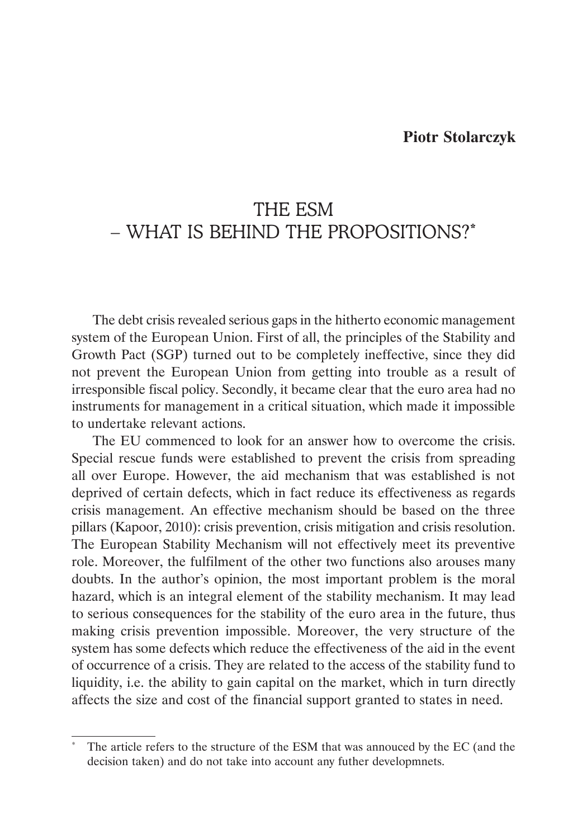### **Piotr Stolarczyk**

# THE ESM – WHAT IS BEHIND THE PROPOSITIONS?\*

The debt crisis revealed serious gaps in the hitherto economic management system of the European Union. First of all, the principles of the Stability and Growth Pact (SGP) turned out to be completely ineffective, since they did not prevent the European Union from getting into trouble as a result of irresponsible fiscal policy. Secondly, it became clear that the euro area had no instruments for management in a critical situation, which made it impossible to undertake relevant actions.

The EU commenced to look for an answer how to overcome the crisis. Special rescue funds were established to prevent the crisis from spreading all over Europe. However, the aid mechanism that was established is not deprived of certain defects, which in fact reduce its effectiveness as regards crisis management. An effective mechanism should be based on the three pillars (Kapoor, 2010): crisis prevention, crisis mitigation and crisis resolution. The European Stability Mechanism will not effectively meet its preventive role. Moreover, the fulfilment of the other two functions also arouses many doubts. In the author's opinion, the most important problem is the moral hazard, which is an integral element of the stability mechanism. It may lead to serious consequences for the stability of the euro area in the future, thus making crisis prevention impossible. Moreover, the very structure of the system has some defects which reduce the effectiveness of the aid in the event of occurrence of a crisis. They are related to the access of the stability fund to liquidity, i.e. the ability to gain capital on the market, which in turn directly affects the size and cost of the financial support granted to states in need.

The article refers to the structure of the ESM that was annouced by the EC (and the decision taken) and do not take into account any futher developmnets.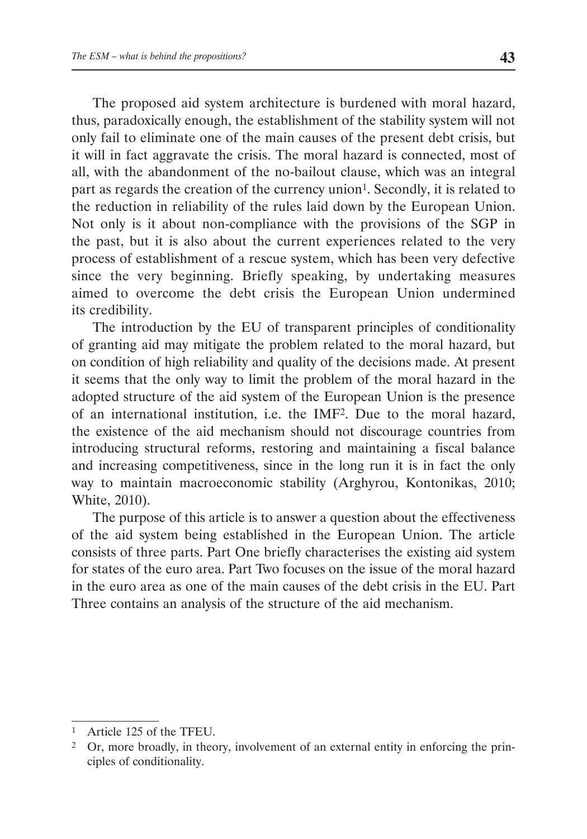The proposed aid system architecture is burdened with moral hazard, thus, paradoxically enough, the establishment of the stability system will not only fail to eliminate one of the main causes of the present debt crisis, but it will in fact aggravate the crisis. The moral hazard is connected, most of all, with the abandonment of the no-bailout clause, which was an integral part as regards the creation of the currency union<sup>1</sup>. Secondly, it is related to the reduction in reliability of the rules laid down by the European Union. Not only is it about non-compliance with the provisions of the SGP in the past, but it is also about the current experiences related to the very process of establishment of a rescue system, which has been very defective since the very beginning. Briefly speaking, by undertaking measures aimed to overcome the debt crisis the European Union undermined its credibility.

The introduction by the EU of transparent principles of conditionality of granting aid may mitigate the problem related to the moral hazard, but on condition of high reliability and quality of the decisions made. At present it seems that the only way to limit the problem of the moral hazard in the adopted structure of the aid system of the European Union is the presence of an international institution, i.e. the IMF2. Due to the moral hazard, the existence of the aid mechanism should not discourage countries from introducing structural reforms, restoring and maintaining a fiscal balance and increasing competitiveness, since in the long run it is in fact the only way to maintain macroeconomic stability (Arghyrou, Kontonikas, 2010; White, 2010).

The purpose of this article is to answer a question about the effectiveness of the aid system being established in the European Union. The article consists of three parts. Part One briefly characterises the existing aid system for states of the euro area. Part Two focuses on the issue of the moral hazard in the euro area as one of the main causes of the debt crisis in the EU. Part Three contains an analysis of the structure of the aid mechanism.

<sup>1</sup> Article 125 of the TFEU.

<sup>2</sup> Or, more broadly, in theory, involvement of an external entity in enforcing the principles of conditionality.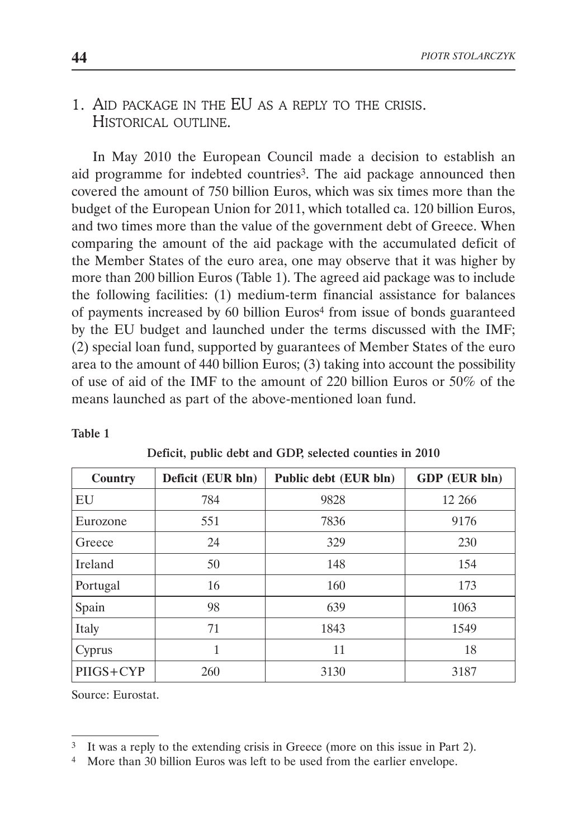# 1. AID PACKAGE IN THE EU AS A REPLY TO THE CRISIS. HISTORICAL OUTLINE.

In May 2010 the European Council made a decision to establish an aid programme for indebted countries<sup>3</sup>. The aid package announced then covered the amount of 750 billion Euros, which was six times more than the budget of the European Union for 2011, which totalled ca. 120 billion Euros, and two times more than the value of the government debt of Greece. When comparing the amount of the aid package with the accumulated deficit of the Member States of the euro area, one may observe that it was higher by more than 200 billion Euros (Table 1). The agreed aid package was to include the following facilities: (1) medium-term financial assistance for balances of payments increased by 60 billion Euros<sup>4</sup> from issue of bonds guaranteed by the EU budget and launched under the terms discussed with the IMF; (2) special loan fund, supported by guarantees of Member States of the euro area to the amount of 440 billion Euros; (3) taking into account the possibility of use of aid of the IMF to the amount of 220 billion Euros or 50% of the means launched as part of the above-mentioned loan fund.

| Country         | Deficit (EUR bln) | Public debt (EUR bln) | GDP (EUR bln) |  |
|-----------------|-------------------|-----------------------|---------------|--|
| EU              | 784               | 9828                  | 12 26 6       |  |
| Eurozone        | 551               | 7836                  | 9176          |  |
| Greece          | 24                | 329                   | 230           |  |
| <b>I</b> reland | 50                | 148                   | 154           |  |
| Portugal        | 16                | 160                   | 173           |  |
| Spain           | 98                | 639                   | 1063          |  |
| Italy           | 71                | 1843                  | 1549          |  |
| Cyprus          | 1                 | 11                    | 18            |  |
| PIIGS+CYP       | 260               | 3130                  | 3187          |  |

Table 1

Deficit, public debt and GDP, selected counties in 2010

Source: Eurostat.

<sup>&</sup>lt;sup>3</sup> It was a reply to the extending crisis in Greece (more on this issue in Part 2).

<sup>4</sup> More than 30 billion Euros was left to be used from the earlier envelope.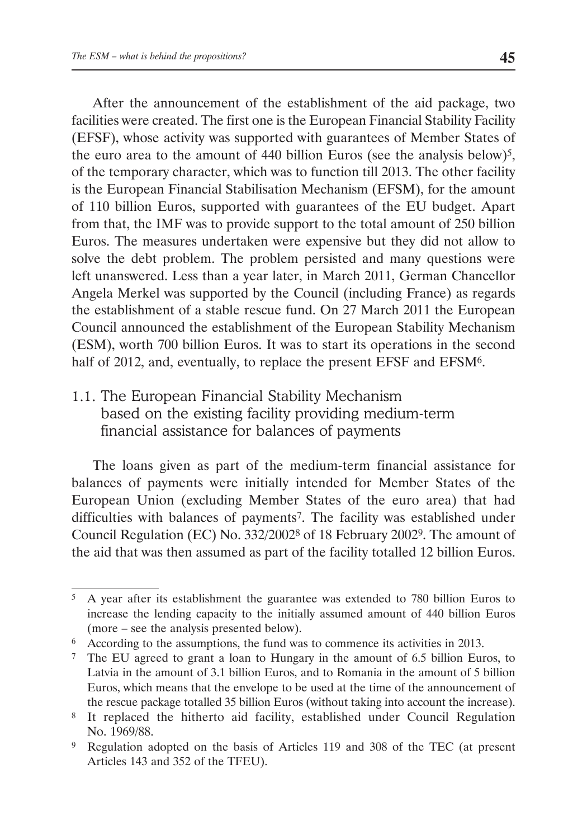After the announcement of the establishment of the aid package, two facilities were created. The first one is the European Financial Stability Facility (EFSF), whose activity was supported with guarantees of Member States of the euro area to the amount of 440 billion Euros (see the analysis below)<sup>5</sup>, of the temporary character, which was to function till 2013. The other facility is the European Financial Stabilisation Mechanism (EFSM), for the amount of 110 billion Euros, supported with guarantees of the EU budget. Apart from that, the IMF was to provide support to the total amount of 250 billion Euros. The measures undertaken were expensive but they did not allow to solve the debt problem. The problem persisted and many questions were left unanswered. Less than a year later, in March 2011, German Chancellor Angela Merkel was supported by the Council (including France) as regards the establishment of a stable rescue fund. On 27 March 2011 the European Council announced the establishment of the European Stability Mechanism (ESM), worth 700 billion Euros. It was to start its operations in the second half of 2012, and, eventually, to replace the present EFSF and EFSM<sup>6</sup>.

1.1. The European Financial Stability Mechanism based on the existing facility providing medium-term financial assistance for balances of payments

The loans given as part of the medium-term financial assistance for balances of payments were initially intended for Member States of the European Union (excluding Member States of the euro area) that had difficulties with balances of payments7. The facility was established under Council Regulation (EC) No. 332/20028 of 18 February 20029. The amount of the aid that was then assumed as part of the facility totalled 12 billion Euros.

<sup>5</sup> A year after its establishment the guarantee was extended to 780 billion Euros to increase the lending capacity to the initially assumed amount of 440 billion Euros (more – see the analysis presented below).

<sup>6</sup> According to the assumptions, the fund was to commence its activities in 2013.

<sup>7</sup> The EU agreed to grant a loan to Hungary in the amount of 6.5 billion Euros, to Latvia in the amount of 3.1 billion Euros, and to Romania in the amount of 5 billion Euros, which means that the envelope to be used at the time of the announcement of the rescue package totalled 35 billion Euros (without taking into account the increase).

<sup>8</sup> It replaced the hitherto aid facility, established under Council Regulation No. 1969/88.

<sup>9</sup> Regulation adopted on the basis of Articles 119 and 308 of the TEC (at present Articles 143 and 352 of the TFEU).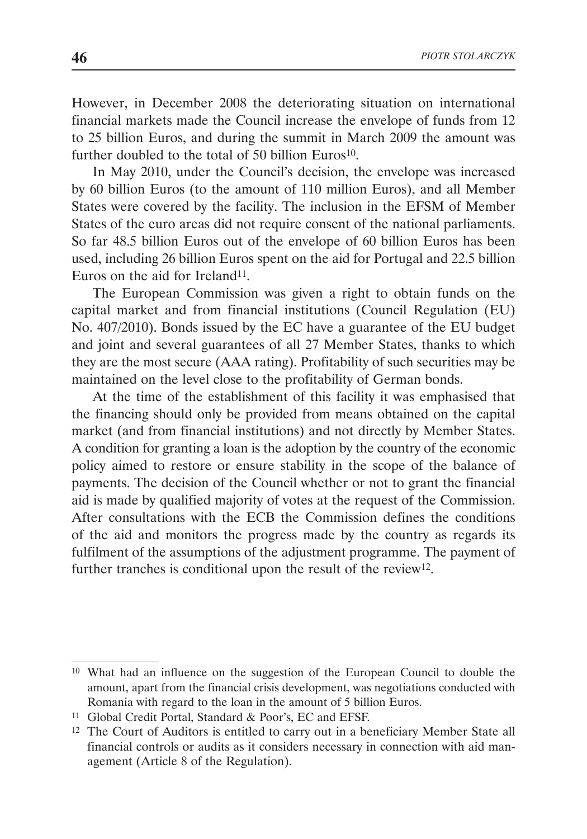However, in December 2008 the deteriorating situation on international financial markets made the Council increase the envelope of funds from 12 to 25 billion Euros, and during the summit in March 2009 the amount was further doubled to the total of 50 billion Euros<sup>10</sup>.

In May 2010, under the Council's decision, the envelope was increased by 60 billion Euros (to the amount of 110 million Euros), and all Member States were covered by the facility. The inclusion in the EFSM of Member States of the euro areas did not require consent of the national parliaments. So far 48.5 billion Euros out of the envelope of 60 billion Euros has been used, including 26 billion Euros spent on the aid for Portugal and 22.5 billion Euros on the aid for Ireland<sup>11</sup>.

The European Commission was given a right to obtain funds on the capital market and from financial institutions (Council Regulation (EU) No. 407/2010). Bonds issued by the EC have a guarantee of the EU budget and joint and several guarantees of all 27 Member States, thanks to which they are the most secure (AAA rating). Profitability of such securities may be maintained on the level close to the profitability of German bonds.

At the time of the establishment of this facility it was emphasised that the financing should only be provided from means obtained on the capital market (and from financial institutions) and not directly by Member States. A condition for granting a loan is the adoption by the country of the economic policy aimed to restore or ensure stability in the scope of the balance of payments. The decision of the Council whether or not to grant the financial aid is made by qualified majority of votes at the request of the Commission. After consultations with the ECB the Commission defines the conditions of the aid and monitors the progress made by the country as regards its fulfilment of the assumptions of the adjustment programme. The payment of further tranches is conditional upon the result of the review12.

<sup>10</sup> What had an influence on the suggestion of the European Council to double the amount, apart from the financial crisis development, was negotiations conducted with Romania with regard to the loan in the amount of 5 billion Euros.

<sup>11</sup> Global Credit Portal, Standard & Poor's, EC and EFSF.

<sup>12</sup> The Court of Auditors is entitled to carry out in a beneficiary Member State all financial controls or audits as it considers necessary in connection with aid management (Article 8 of the Regulation).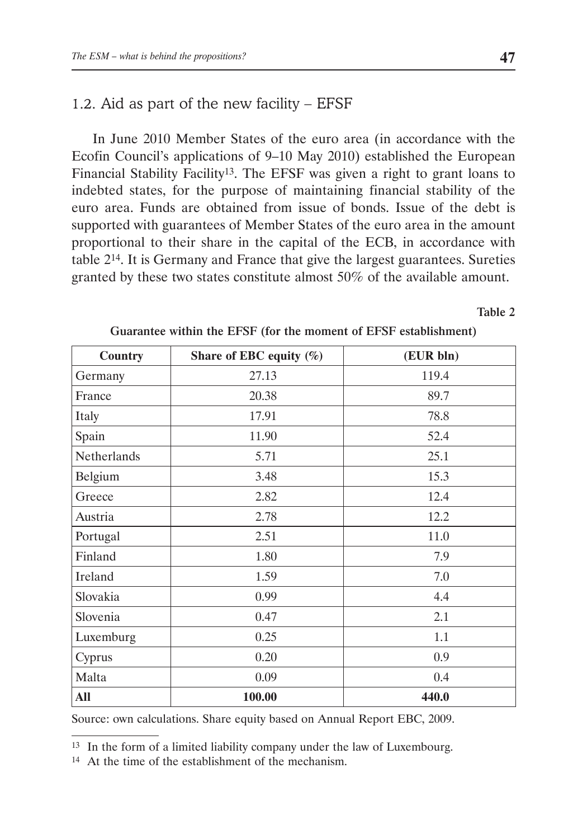# 1.2. Aid as part of the new facility – EFSF

In June 2010 Member States of the euro area (in accordance with the Ecofin Council's applications of 9–10 May 2010) established the European Financial Stability Facility13. The EFSF was given a right to grant loans to indebted states, for the purpose of maintaining financial stability of the euro area. Funds are obtained from issue of bonds. Issue of the debt is supported with guarantees of Member States of the euro area in the amount proportional to their share in the capital of the ECB, in accordance with table 214. It is Germany and France that give the largest guarantees. Sureties granted by these two states constitute almost 50% of the available amount.

#### Table 2

| <b>Country</b> | Share of EBC equity $(\%)$ | (EUR bln) |
|----------------|----------------------------|-----------|
| Germany        | 27.13                      | 119.4     |
| France         | 20.38                      | 89.7      |
| Italy          | 17.91                      | 78.8      |
| Spain          | 11.90                      | 52.4      |
| Netherlands    | 5.71                       | 25.1      |
| Belgium        | 3.48                       | 15.3      |
| Greece         | 2.82                       | 12.4      |
| Austria        | 2.78                       | 12.2      |
| Portugal       | 2.51                       | 11.0      |
| Finland        | 1.80                       | 7.9       |
| Ireland        | 1.59                       | 7.0       |
| Slovakia       | 0.99                       | 4.4       |
| Slovenia       | 0.47                       | 2.1       |
| Luxemburg      | 0.25                       | 1.1       |
| Cyprus         | 0.20                       | 0.9       |
| Malta          | 0.09                       | 0.4       |
| All            | 100.00                     | 440.0     |

Guarantee within the EFSF (for the moment of EFSF establishment)

Source: own calculations. Share equity based on Annual Report EBC, 2009.

13 In the form of a limited liability company under the law of Luxembourg.

<sup>14</sup> At the time of the establishment of the mechanism.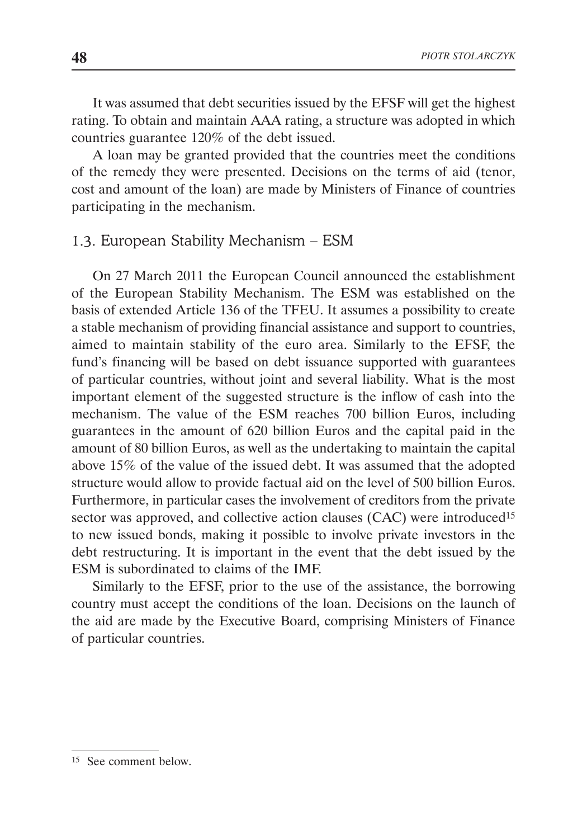It was assumed that debt securities issued by the EFSF will get the highest rating. To obtain and maintain AAA rating, a structure was adopted in which countries guarantee 120% of the debt issued.

A loan may be granted provided that the countries meet the conditions of the remedy they were presented. Decisions on the terms of aid (tenor, cost and amount of the loan) are made by Ministers of Finance of countries participating in the mechanism.

## 1.3. European Stability Mechanism – ESM

On 27 March 2011 the European Council announced the establishment of the European Stability Mechanism. The ESM was established on the basis of extended Article 136 of the TFEU. It assumes a possibility to create a stable mechanism of providing financial assistance and support to countries, aimed to maintain stability of the euro area. Similarly to the EFSF, the fund's financing will be based on debt issuance supported with guarantees of particular countries, without joint and several liability. What is the most important element of the suggested structure is the inflow of cash into the mechanism. The value of the ESM reaches 700 billion Euros, including guarantees in the amount of 620 billion Euros and the capital paid in the amount of 80 billion Euros, as well as the undertaking to maintain the capital above 15% of the value of the issued debt. It was assumed that the adopted structure would allow to provide factual aid on the level of 500 billion Euros. Furthermore, in particular cases the involvement of creditors from the private sector was approved, and collective action clauses (CAC) were introduced<sup>15</sup> to new issued bonds, making it possible to involve private investors in the debt restructuring. It is important in the event that the debt issued by the ESM is subordinated to claims of the IMF.

Similarly to the EFSF, prior to the use of the assistance, the borrowing country must accept the conditions of the loan. Decisions on the launch of the aid are made by the Executive Board, comprising Ministers of Finance of particular countries.

<sup>15</sup> See comment below.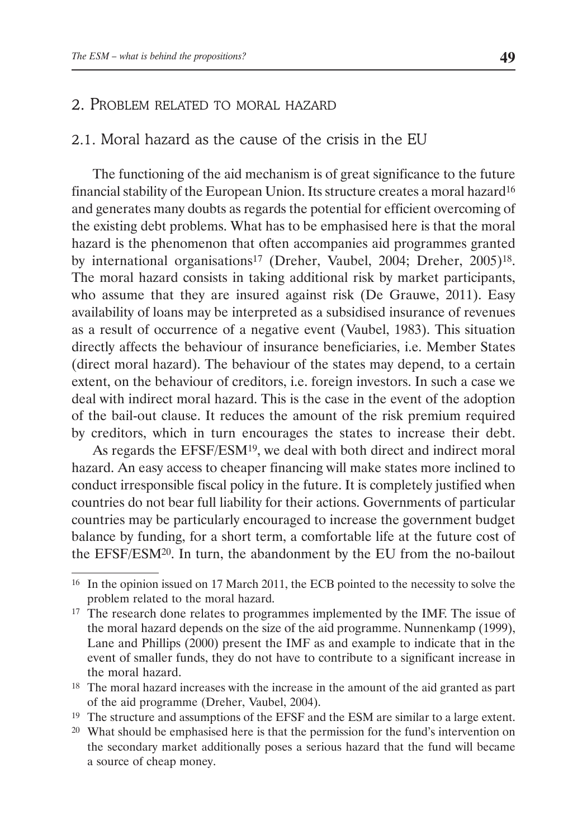### 2. PROBLEM RELATED TO MORAL HAZARD

#### 2.1. Moral hazard as the cause of the crisis in the EU

The functioning of the aid mechanism is of great significance to the future financial stability of the European Union. Its structure creates a moral hazard16 and generates many doubts as regards the potential for efficient overcoming of the existing debt problems. What has to be emphasised here is that the moral hazard is the phenomenon that often accompanies aid programmes granted by international organisations<sup>17</sup> (Dreher, Vaubel, 2004; Dreher, 2005)<sup>18</sup>. The moral hazard consists in taking additional risk by market participants, who assume that they are insured against risk (De Grauwe, 2011). Easy availability of loans may be interpreted as a subsidised insurance of revenues as a result of occurrence of a negative event (Vaubel, 1983). This situation directly affects the behaviour of insurance beneficiaries, i.e. Member States (direct moral hazard). The behaviour of the states may depend, to a certain extent, on the behaviour of creditors, i.e. foreign investors. In such a case we deal with indirect moral hazard. This is the case in the event of the adoption of the bail-out clause. It reduces the amount of the risk premium required by creditors, which in turn encourages the states to increase their debt.

As regards the EFSF/ESM19, we deal with both direct and indirect moral hazard. An easy access to cheaper financing will make states more inclined to conduct irresponsible fiscal policy in the future. It is completely justified when countries do not bear full liability for their actions. Governments of particular countries may be particularly encouraged to increase the government budget balance by funding, for a short term, a comfortable life at the future cost of the EFSF/ESM20. In turn, the abandonment by the EU from the no-bailout

<sup>19</sup> The structure and assumptions of the EFSF and the ESM are similar to a large extent.

<sup>16</sup> In the opinion issued on 17 March 2011, the ECB pointed to the necessity to solve the problem related to the moral hazard.

<sup>&</sup>lt;sup>17</sup> The research done relates to programmes implemented by the IMF. The issue of the moral hazard depends on the size of the aid programme. Nunnenkamp (1999), Lane and Phillips (2000) present the IMF as and example to indicate that in the event of smaller funds, they do not have to contribute to a significant increase in the moral hazard.

<sup>&</sup>lt;sup>18</sup> The moral hazard increases with the increase in the amount of the aid granted as part of the aid programme (Dreher, Vaubel, 2004).

<sup>20</sup> What should be emphasised here is that the permission for the fund's intervention on the secondary market additionally poses a serious hazard that the fund will became a source of cheap money.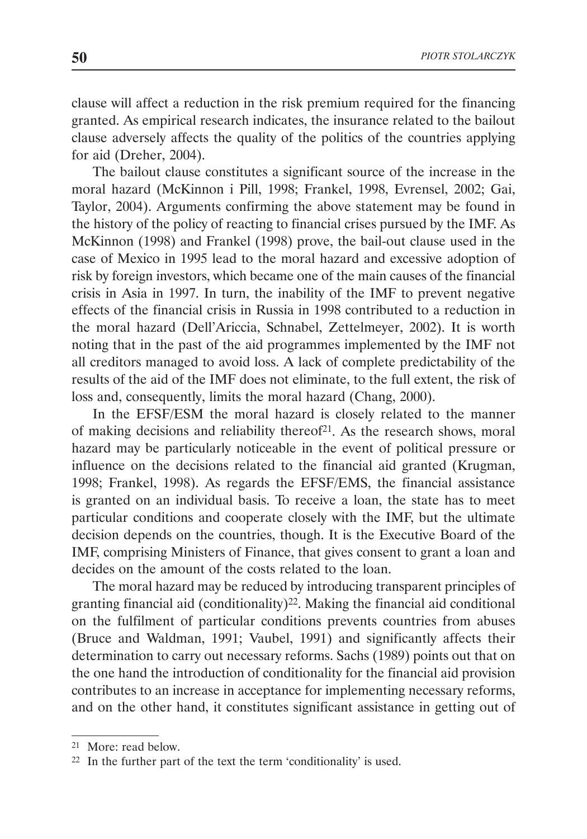clause will affect a reduction in the risk premium required for the financing granted. As empirical research indicates, the insurance related to the bailout clause adversely affects the quality of the politics of the countries applying for aid (Dreher, 2004).

The bailout clause constitutes a significant source of the increase in the moral hazard (McKinnon i Pill, 1998; Frankel, 1998, Evrensel, 2002; Gai, Taylor, 2004). Arguments confirming the above statement may be found in the history of the policy of reacting to financial crises pursued by the IMF. As McKinnon (1998) and Frankel (1998) prove, the bail-out clause used in the case of Mexico in 1995 lead to the moral hazard and excessive adoption of risk by foreign investors, which became one of the main causes of the financial crisis in Asia in 1997. In turn, the inability of the IMF to prevent negative effects of the financial crisis in Russia in 1998 contributed to a reduction in the moral hazard (Dell'Ariccia, Schnabel, Zettelmeyer, 2002). It is worth noting that in the past of the aid programmes implemented by the IMF not all creditors managed to avoid loss. A lack of complete predictability of the results of the aid of the IMF does not eliminate, to the full extent, the risk of loss and, consequently, limits the moral hazard (Chang, 2000).

In the EFSF/ESM the moral hazard is closely related to the manner of making decisions and reliability thereof<sup>21</sup>. As the research shows, moral hazard may be particularly noticeable in the event of political pressure or influence on the decisions related to the financial aid granted (Krugman, 1998; Frankel, 1998). As regards the EFSF/EMS, the financial assistance is granted on an individual basis. To receive a loan, the state has to meet particular conditions and cooperate closely with the IMF, but the ultimate decision depends on the countries, though. It is the Executive Board of the IMF, comprising Ministers of Finance, that gives consent to grant a loan and decides on the amount of the costs related to the loan.

The moral hazard may be reduced by introducing transparent principles of granting financial aid (conditionality)22. Making the financial aid conditional on the fulfilment of particular conditions prevents countries from abuses (Bruce and Waldman, 1991; Vaubel, 1991) and significantly affects their determination to carry out necessary reforms. Sachs (1989) points out that on the one hand the introduction of conditionality for the financial aid provision contributes to an increase in acceptance for implementing necessary reforms, and on the other hand, it constitutes significant assistance in getting out of

<sup>21</sup> More: read below.

<sup>22</sup> In the further part of the text the term 'conditionality' is used.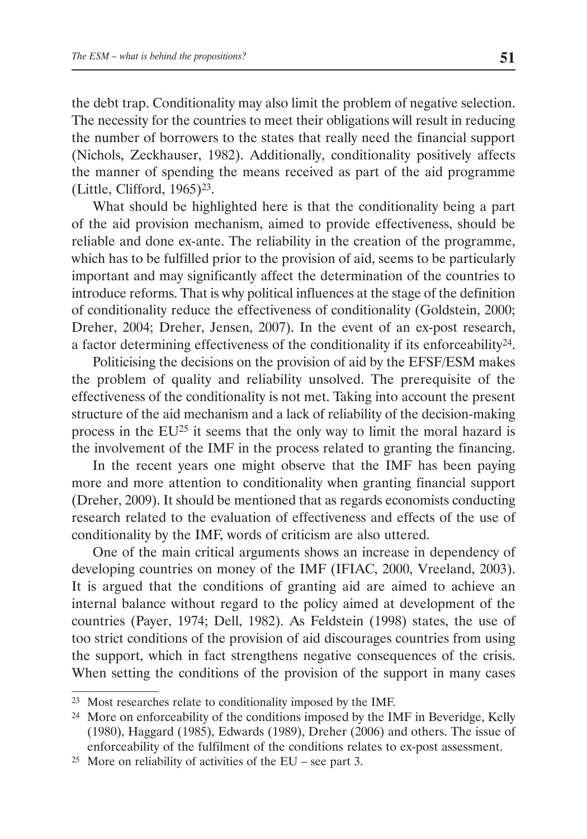the debt trap. Conditionality may also limit the problem of negative selection. The necessity for the countries to meet their obligations will result in reducing the number of borrowers to the states that really need the financial support (Nichols, Zeckhauser, 1982). Additionally, conditionality positively affects the manner of spending the means received as part of the aid programme (Little, Clifford,  $1965$ )<sup>23</sup>.

What should be highlighted here is that the conditionality being a part of the aid provision mechanism, aimed to provide effectiveness, should be reliable and done ex-ante. The reliability in the creation of the programme, which has to be fulfilled prior to the provision of aid, seems to be particularly important and may significantly affect the determination of the countries to introduce reforms. That is why political influences at the stage of the definition of conditionality reduce the effectiveness of conditionality (Goldstein, 2000; Dreher, 2004; Dreher, Jensen, 2007). In the event of an ex-post research, a factor determining effectiveness of the conditionality if its enforceability24.

Politicising the decisions on the provision of aid by the EFSF/ESM makes the problem of quality and reliability unsolved. The prerequisite of the effectiveness of the conditionality is not met. Taking into account the present structure of the aid mechanism and a lack of reliability of the decision-making process in the EU25 it seems that the only way to limit the moral hazard is the involvement of the IMF in the process related to granting the financing.

In the recent years one might observe that the IMF has been paying more and more attention to conditionality when granting financial support (Dreher, 2009). It should be mentioned that as regards economists conducting research related to the evaluation of effectiveness and effects of the use of conditionality by the IMF, words of criticism are also uttered.

One of the main critical arguments shows an increase in dependency of developing countries on money of the IMF (IFIAC, 2000, Vreeland, 2003). It is argued that the conditions of granting aid are aimed to achieve an internal balance without regard to the policy aimed at development of the countries (Payer, 1974; Dell, 1982). As Feldstein (1998) states, the use of too strict conditions of the provision of aid discourages countries from using the support, which in fact strengthens negative consequences of the crisis. When setting the conditions of the provision of the support in many cases

<sup>23</sup> Most researches relate to conditionality imposed by the IMF.

<sup>24</sup> More on enforceability of the conditions imposed by the IMF in Beveridge, Kelly (1980), Haggard (1985), Edwards (1989), Dreher (2006) and others. The issue of enforceability of the fulfilment of the conditions relates to ex-post assessment.

<sup>&</sup>lt;sup>25</sup> More on reliability of activities of the EU – see part 3.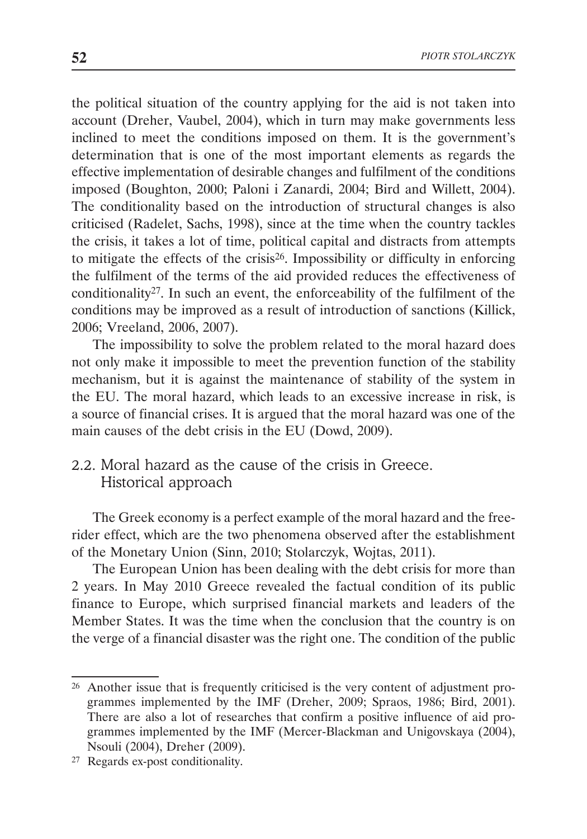the political situation of the country applying for the aid is not taken into account (Dreher, Vaubel, 2004), which in turn may make governments less inclined to meet the conditions imposed on them. It is the government's determination that is one of the most important elements as regards the effective implementation of desirable changes and fulfilment of the conditions imposed (Boughton, 2000; Paloni i Zanardi, 2004; Bird and Willett, 2004). The conditionality based on the introduction of structural changes is also criticised (Radelet, Sachs, 1998), since at the time when the country tackles the crisis, it takes a lot of time, political capital and distracts from attempts to mitigate the effects of the crisis26. Impossibility or difficulty in enforcing the fulfilment of the terms of the aid provided reduces the effectiveness of conditionality27. In such an event, the enforceability of the fulfilment of the conditions may be improved as a result of introduction of sanctions (Killick, 2006; Vreeland, 2006, 2007).

The impossibility to solve the problem related to the moral hazard does not only make it impossible to meet the prevention function of the stability mechanism, but it is against the maintenance of stability of the system in the EU. The moral hazard, which leads to an excessive increase in risk, is a source of financial crises. It is argued that the moral hazard was one of the main causes of the debt crisis in the EU (Dowd, 2009).

# 2.2. Moral hazard as the cause of the crisis in Greece. Historical approach

The Greek economy is a perfect example of the moral hazard and the freerider effect, which are the two phenomena observed after the establishment of the Monetary Union (Sinn, 2010; Stolarczyk, Wojtas, 2011).

The European Union has been dealing with the debt crisis for more than 2 years. In May 2010 Greece revealed the factual condition of its public finance to Europe, which surprised financial markets and leaders of the Member States. It was the time when the conclusion that the country is on the verge of a financial disaster was the right one. The condition of the public

<sup>26</sup> Another issue that is frequently criticised is the very content of adjustment programmes implemented by the IMF (Dreher, 2009; Spraos, 1986; Bird, 2001). There are also a lot of researches that confirm a positive influence of aid programmes implemented by the IMF (Mercer-Blackman and Unigovskaya (2004), Nsouli (2004), Dreher (2009).

<sup>27</sup> Regards ex-post conditionality.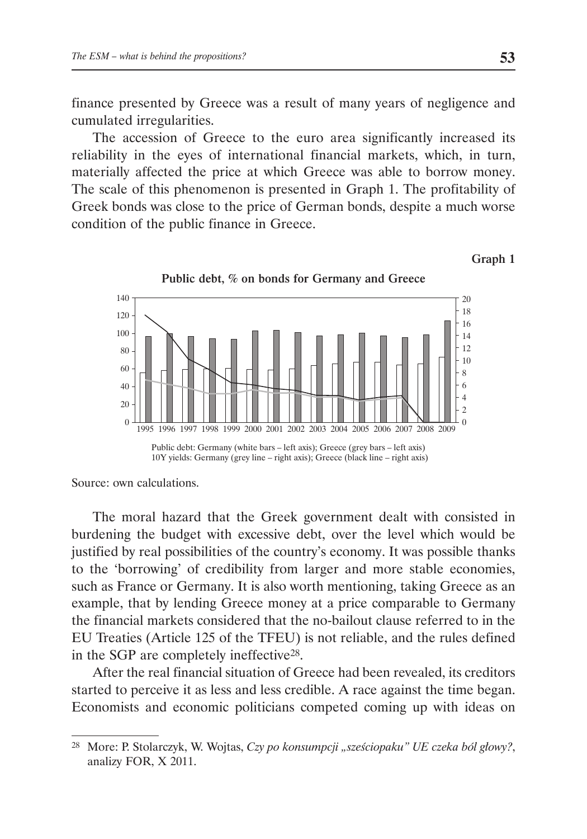finance presented by Greece was a result of many years of negligence and cumulated irregularities.

The accession of Greece to the euro area significantly increased its reliability in the eyes of international financial markets, which, in turn, materially affected the price at which Greece was able to borrow money. The scale of this phenomenon is presented in Graph 1. The profitability of Greek bonds was close to the price of German bonds, despite a much worse condition of the public finance in Greece.







Source: own calculations.

The moral hazard that the Greek government dealt with consisted in burdening the budget with excessive debt, over the level which would be justified by real possibilities of the country's economy. It was possible thanks to the 'borrowing' of credibility from larger and more stable economies, such as France or Germany. It is also worth mentioning, taking Greece as an example, that by lending Greece money at a price comparable to Germany the financial markets considered that the no-bailout clause referred to in the EU Treaties (Article 125 of the TFEU) is not reliable, and the rules defined in the SGP are completely ineffective28.

After the real financial situation of Greece had been revealed, its creditors started to perceive it as less and less credible. A race against the time began. Economists and economic politicians competed coming up with ideas on

<sup>28</sup> More: P. Stolarczyk, W. Wojtas, *Czy po konsumpcji "sześciopaku" UE czeka ból głowy?*, analizy FOR, X 2011.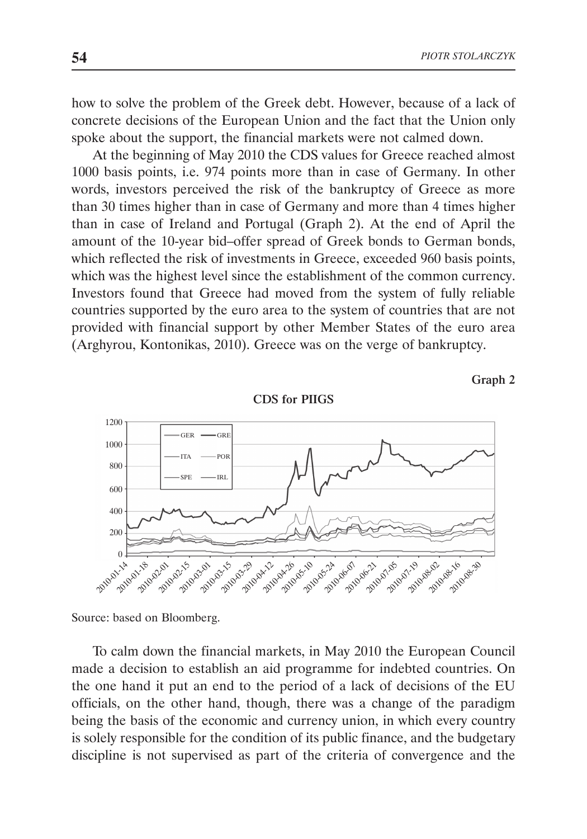how to solve the problem of the Greek debt. However, because of a lack of concrete decisions of the European Union and the fact that the Union only spoke about the support, the financial markets were not calmed down.

At the beginning of May 2010 the CDS values for Greece reached almost 1000 basis points, i.e. 974 points more than in case of Germany. In other words, investors perceived the risk of the bankruptcy of Greece as more than 30 times higher than in case of Germany and more than 4 times higher than in case of Ireland and Portugal (Graph 2). At the end of April the amount of the 10-year bid–offer spread of Greek bonds to German bonds, which reflected the risk of investments in Greece, exceeded 960 basis points, which was the highest level since the establishment of the common currency. Investors found that Greece had moved from the system of fully reliable countries supported by the euro area to the system of countries that are not provided with financial support by other Member States of the euro area (Arghyrou, Kontonikas, 2010). Greece was on the verge of bankruptcy.



Graph 2

Source: based on Bloomberg.

To calm down the financial markets, in May 2010 the European Council made a decision to establish an aid programme for indebted countries. On the one hand it put an end to the period of a lack of decisions of the EU officials, on the other hand, though, there was a change of the paradigm being the basis of the economic and currency union, in which every country is solely responsible for the condition of its public finance, and the budgetary discipline is not supervised as part of the criteria of convergence and the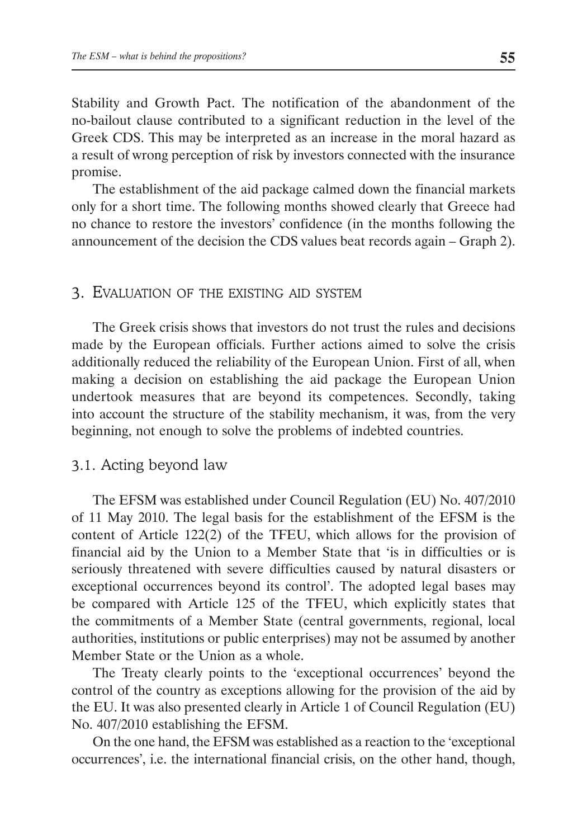Stability and Growth Pact. The notification of the abandonment of the no-bailout clause contributed to a significant reduction in the level of the Greek CDS. This may be interpreted as an increase in the moral hazard as a result of wrong perception of risk by investors connected with the insurance promise.

The establishment of the aid package calmed down the financial markets only for a short time. The following months showed clearly that Greece had no chance to restore the investors' confidence (in the months following the announcement of the decision the CDS values beat records again – Graph 2).

#### 3. EVALUATION OF THE EXISTING AID SYSTEM

The Greek crisis shows that investors do not trust the rules and decisions made by the European officials. Further actions aimed to solve the crisis additionally reduced the reliability of the European Union. First of all, when making a decision on establishing the aid package the European Union undertook measures that are beyond its competences. Secondly, taking into account the structure of the stability mechanism, it was, from the very beginning, not enough to solve the problems of indebted countries.

#### 3.1. Acting beyond law

The EFSM was established under Council Regulation (EU) No. 407/2010 of 11 May 2010. The legal basis for the establishment of the EFSM is the content of Article 122(2) of the TFEU, which allows for the provision of financial aid by the Union to a Member State that 'is in difficulties or is seriously threatened with severe difficulties caused by natural disasters or exceptional occurrences beyond its control'. The adopted legal bases may be compared with Article 125 of the TFEU, which explicitly states that the commitments of a Member State (central governments, regional, local authorities, institutions or public enterprises) may not be assumed by another Member State or the Union as a whole.

The Treaty clearly points to the 'exceptional occurrences' beyond the control of the country as exceptions allowing for the provision of the aid by the EU. It was also presented clearly in Article 1 of Council Regulation (EU) No. 407/2010 establishing the EFSM.

On the one hand, the EFSM was established as a reaction to the 'exceptional occurrences', i.e. the international financial crisis, on the other hand, though,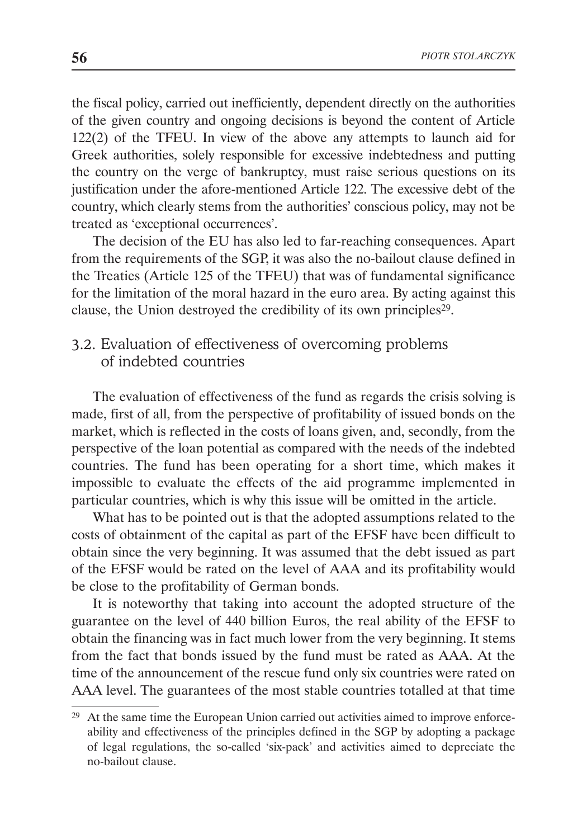the fiscal policy, carried out inefficiently, dependent directly on the authorities of the given country and ongoing decisions is beyond the content of Article 122(2) of the TFEU. In view of the above any attempts to launch aid for Greek authorities, solely responsible for excessive indebtedness and putting the country on the verge of bankruptcy, must raise serious questions on its justification under the afore-mentioned Article 122. The excessive debt of the country, which clearly stems from the authorities' conscious policy, may not be treated as 'exceptional occurrences'.

The decision of the EU has also led to far-reaching consequences. Apart from the requirements of the SGP, it was also the no-bailout clause defined in the Treaties (Article 125 of the TFEU) that was of fundamental significance for the limitation of the moral hazard in the euro area. By acting against this clause, the Union destroyed the credibility of its own principles<sup>29</sup>.

# 3.2. Evaluation of effectiveness of overcoming problems of indebted countries

The evaluation of effectiveness of the fund as regards the crisis solving is made, first of all, from the perspective of profitability of issued bonds on the market, which is reflected in the costs of loans given, and, secondly, from the perspective of the loan potential as compared with the needs of the indebted countries. The fund has been operating for a short time, which makes it impossible to evaluate the effects of the aid programme implemented in particular countries, which is why this issue will be omitted in the article.

What has to be pointed out is that the adopted assumptions related to the costs of obtainment of the capital as part of the EFSF have been difficult to obtain since the very beginning. It was assumed that the debt issued as part of the EFSF would be rated on the level of AAA and its profitability would be close to the profitability of German bonds.

It is noteworthy that taking into account the adopted structure of the guarantee on the level of 440 billion Euros, the real ability of the EFSF to obtain the financing was in fact much lower from the very beginning. It stems from the fact that bonds issued by the fund must be rated as AAA. At the time of the announcement of the rescue fund only six countries were rated on AAA level. The guarantees of the most stable countries totalled at that time

<sup>&</sup>lt;sup>29</sup> At the same time the European Union carried out activities aimed to improve enforceability and effectiveness of the principles defined in the SGP by adopting a package of legal regulations, the so-called 'six-pack' and activities aimed to depreciate the no-bailout clause.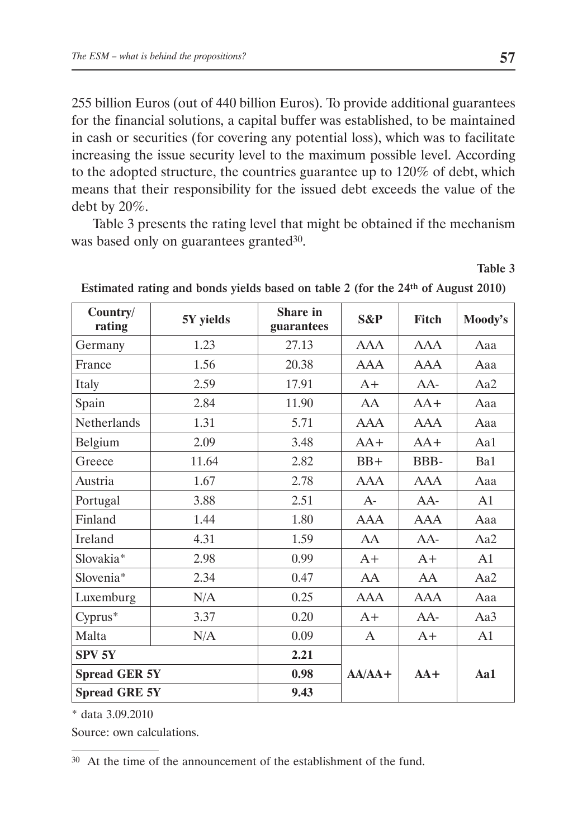255 billion Euros (out of 440 billion Euros). To provide additional guarantees for the financial solutions, a capital buffer was established, to be maintained in cash or securities (for covering any potential loss), which was to facilitate increasing the issue security level to the maximum possible level. According to the adopted structure, the countries guarantee up to 120% of debt, which means that their responsibility for the issued debt exceeds the value of the debt by 20%.

Table 3 presents the rating level that might be obtained if the mechanism was based only on guarantees granted<sup>30</sup>.

Table 3

| Country/<br>rating   | 5Y yields | Share in<br>guarantees | S&P        | Fitch      | Moody's        |
|----------------------|-----------|------------------------|------------|------------|----------------|
| Germany              | 1.23      | 27.13                  | <b>AAA</b> | <b>AAA</b> | Aaa            |
| France               | 1.56      | 20.38                  | <b>AAA</b> | <b>AAA</b> | Aaa            |
| Italy                | 2.59      | 17.91                  | $A+$       | AA-        | Aa2            |
| Spain                | 2.84      | 11.90                  | AA         | $AA+$      | Aaa            |
| Netherlands          | 1.31      | 5.71                   | <b>AAA</b> | <b>AAA</b> | Aaa            |
| Belgium              | 2.09      | 3.48                   | $AA+$      | $AA+$      | Aa1            |
| Greece               | 11.64     | 2.82                   | $BB+$      | BBB-       | Ba1            |
| Austria              | 1.67      | 2.78                   | <b>AAA</b> | <b>AAA</b> | Aaa            |
| Portugal             | 3.88      | 2.51                   | $A-$       | $AA-$      | A <sub>1</sub> |
| Finland              | 1.44      | 1.80                   | <b>AAA</b> | <b>AAA</b> | Aaa            |
| Ireland              | 4.31      | 1.59                   | AA         | $AA-$      | Aa2            |
| Slovakia*            | 2.98      | 0.99                   | $A+$       | $A+$       | A <sub>1</sub> |
| Slovenia*            | 2.34      | 0.47                   | AA         | AA         | Aa2            |
| Luxemburg            | N/A       | 0.25                   | <b>AAA</b> | <b>AAA</b> | Aaa            |
| Cyprus*              | 3.37      | 0.20                   | $A+$       | $AA-$      | Aa3            |
| Malta                | N/A       | 0.09                   | A          | $A+$       | A <sub>1</sub> |
| SPV <sub>5Y</sub>    |           | 2.21                   |            | $AA+$      | Aa1            |
| <b>Spread GER 5Y</b> |           | 0.98                   | $AA/AA+$   |            |                |
| <b>Spread GRE 5Y</b> |           | 9.43                   |            |            |                |

Estimated rating and bonds yields based on table 2 (for the 24th of August 2010)

\* data 3.09.2010

Source: own calculations.

30 At the time of the announcement of the establishment of the fund.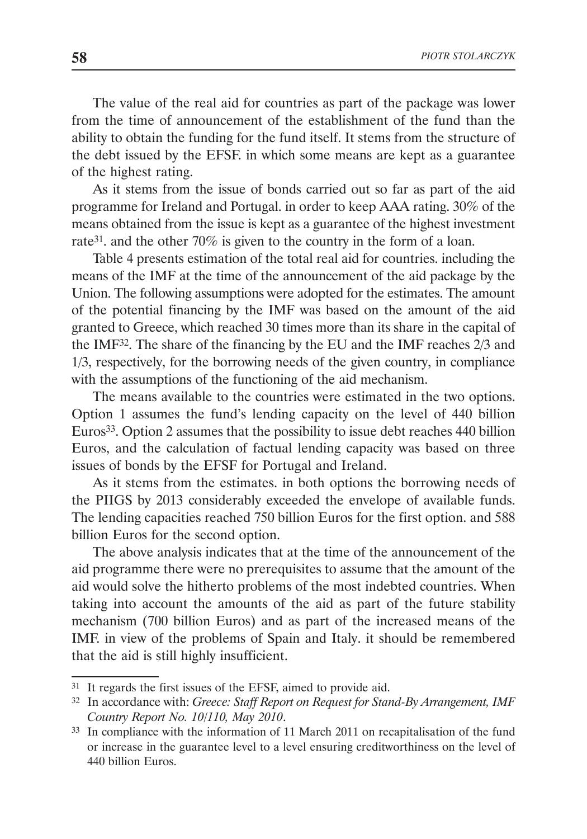The value of the real aid for countries as part of the package was lower from the time of announcement of the establishment of the fund than the ability to obtain the funding for the fund itself. It stems from the structure of the debt issued by the EFSF. in which some means are kept as a guarantee of the highest rating.

As it stems from the issue of bonds carried out so far as part of the aid programme for Ireland and Portugal. in order to keep AAA rating. 30% of the means obtained from the issue is kept as a guarantee of the highest investment rate31. and the other 70% is given to the country in the form of a loan.

Table 4 presents estimation of the total real aid for countries. including the means of the IMF at the time of the announcement of the aid package by the Union. The following assumptions were adopted for the estimates. The amount of the potential financing by the IMF was based on the amount of the aid granted to Greece, which reached 30 times more than its share in the capital of the IMF32. The share of the financing by the EU and the IMF reaches 2/3 and 1/3, respectively, for the borrowing needs of the given country, in compliance with the assumptions of the functioning of the aid mechanism.

The means available to the countries were estimated in the two options. Option 1 assumes the fund's lending capacity on the level of 440 billion Euros33. Option 2 assumes that the possibility to issue debt reaches 440 billion Euros, and the calculation of factual lending capacity was based on three issues of bonds by the EFSF for Portugal and Ireland.

As it stems from the estimates. in both options the borrowing needs of the PIIGS by 2013 considerably exceeded the envelope of available funds. The lending capacities reached 750 billion Euros for the first option. and 588 billion Euros for the second option.

The above analysis indicates that at the time of the announcement of the aid programme there were no prerequisites to assume that the amount of the aid would solve the hitherto problems of the most indebted countries. When taking into account the amounts of the aid as part of the future stability mechanism (700 billion Euros) and as part of the increased means of the IMF. in view of the problems of Spain and Italy. it should be remembered that the aid is still highly insufficient.

<sup>31</sup> It regards the first issues of the EFSF, aimed to provide aid.

<sup>32</sup> In accordance with: *Greece: Staff Report on Request for Stand-By Arrangement, IMF Country Report No. 10/110, May 2010*.

<sup>33</sup> In compliance with the information of 11 March 2011 on recapitalisation of the fund or increase in the guarantee level to a level ensuring creditworthiness on the level of 440 billion Euros.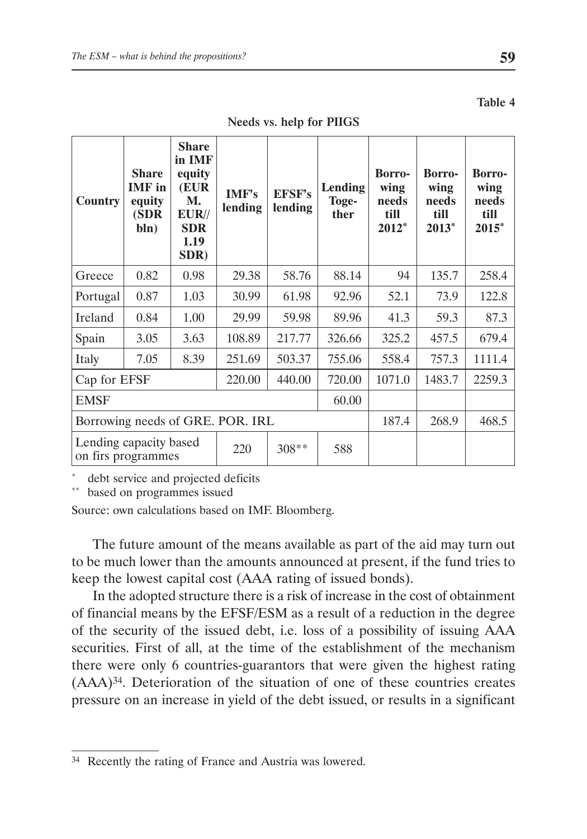| <b>Country</b>                               | <b>Share</b><br><b>IMF</b> in<br>equity<br>(SDR<br>bln) | <b>Share</b><br>in IMF<br>equity<br>(EUR<br><b>M.</b><br>$EUR/\!/$<br><b>SDR</b><br>1.19<br>SDR) | IMF's<br>lending | <b>EFSF's</b><br>lending | Lending<br>Toge-<br>ther | <b>Borro-</b><br>wing<br>needs<br>till<br>$2012*$ | <b>Borro-</b><br>wing<br>needs<br>till<br>2013* | <b>Borro-</b><br>wing<br>needs<br>till<br>2015* |
|----------------------------------------------|---------------------------------------------------------|--------------------------------------------------------------------------------------------------|------------------|--------------------------|--------------------------|---------------------------------------------------|-------------------------------------------------|-------------------------------------------------|
| Greece                                       | 0.82                                                    | 0.98                                                                                             | 29.38            | 58.76                    | 88.14                    | 94                                                | 135.7                                           | 258.4                                           |
| Portugal                                     | 0.87                                                    | 1.03                                                                                             | 30.99            | 61.98                    | 92.96                    | 52.1                                              | 73.9                                            | 122.8                                           |
| Ireland                                      | 0.84                                                    | 1.00                                                                                             | 29.99            | 59.98                    | 89.96                    | 41.3                                              | 59.3                                            | 87.3                                            |
| Spain                                        | 3.05                                                    | 3.63                                                                                             | 108.89           | 217.77                   | 326.66                   | 325.2                                             | 457.5                                           | 679.4                                           |
| Italy                                        | 7.05                                                    | 8.39                                                                                             | 251.69           | 503.37                   | 755.06                   | 558.4                                             | 757.3                                           | 1111.4                                          |
| 440.00<br>Cap for EFSF<br>220.00             |                                                         |                                                                                                  | 720.00           | 1071.0                   | 1483.7                   | 2259.3                                            |                                                 |                                                 |
| <b>EMSF</b>                                  |                                                         |                                                                                                  |                  | 60.00                    |                          |                                                   |                                                 |                                                 |
| Borrowing needs of GRE. POR. IRL             |                                                         |                                                                                                  |                  | 187.4                    | 268.9                    | 468.5                                             |                                                 |                                                 |
| Lending capacity based<br>on firs programmes |                                                         |                                                                                                  | 220              | 308**                    | 588                      |                                                   |                                                 |                                                 |

Needs vs. help for PIIGS

debt service and projected deficits

\*\* based on programmes issued

Source: own calculations based on IMF. Bloomberg.

The future amount of the means available as part of the aid may turn out to be much lower than the amounts announced at present, if the fund tries to keep the lowest capital cost (AAA rating of issued bonds).

In the adopted structure there is a risk of increase in the cost of obtainment of financial means by the EFSF/ESM as a result of a reduction in the degree of the security of the issued debt, i.e. loss of a possibility of issuing AAA securities. First of all, at the time of the establishment of the mechanism there were only 6 countries-guarantors that were given the highest rating (AAA)34. Deterioration of the situation of one of these countries creates pressure on an increase in yield of the debt issued, or results in a significant

Table 4

<sup>34</sup> Recently the rating of France and Austria was lowered.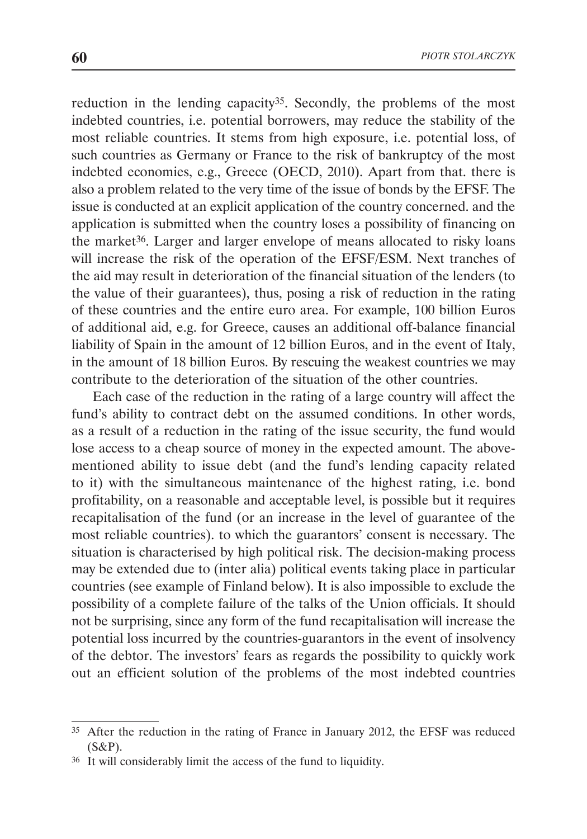reduction in the lending capacity<sup>35</sup>. Secondly, the problems of the most indebted countries, i.e. potential borrowers, may reduce the stability of the most reliable countries. It stems from high exposure, i.e. potential loss, of such countries as Germany or France to the risk of bankruptcy of the most indebted economies, e.g., Greece (OECD, 2010). Apart from that. there is also a problem related to the very time of the issue of bonds by the EFSF. The issue is conducted at an explicit application of the country concerned. and the application is submitted when the country loses a possibility of financing on the market<sup>36</sup>. Larger and larger envelope of means allocated to risky loans will increase the risk of the operation of the EFSF/ESM. Next tranches of the aid may result in deterioration of the financial situation of the lenders (to the value of their guarantees), thus, posing a risk of reduction in the rating of these countries and the entire euro area. For example, 100 billion Euros of additional aid, e.g. for Greece, causes an additional off-balance financial liability of Spain in the amount of 12 billion Euros, and in the event of Italy, in the amount of 18 billion Euros. By rescuing the weakest countries we may contribute to the deterioration of the situation of the other countries.

Each case of the reduction in the rating of a large country will affect the fund's ability to contract debt on the assumed conditions. In other words, as a result of a reduction in the rating of the issue security, the fund would lose access to a cheap source of money in the expected amount. The abovementioned ability to issue debt (and the fund's lending capacity related to it) with the simultaneous maintenance of the highest rating, i.e. bond profitability, on a reasonable and acceptable level, is possible but it requires recapitalisation of the fund (or an increase in the level of guarantee of the most reliable countries). to which the guarantors' consent is necessary. The situation is characterised by high political risk. The decision-making process may be extended due to (inter alia) political events taking place in particular countries (see example of Finland below). It is also impossible to exclude the possibility of a complete failure of the talks of the Union officials. It should not be surprising, since any form of the fund recapitalisation will increase the potential loss incurred by the countries-guarantors in the event of insolvency of the debtor. The investors' fears as regards the possibility to quickly work out an efficient solution of the problems of the most indebted countries

<sup>35</sup> After the reduction in the rating of France in January 2012, the EFSF was reduced (S&P).

<sup>36</sup> It will considerably limit the access of the fund to liquidity.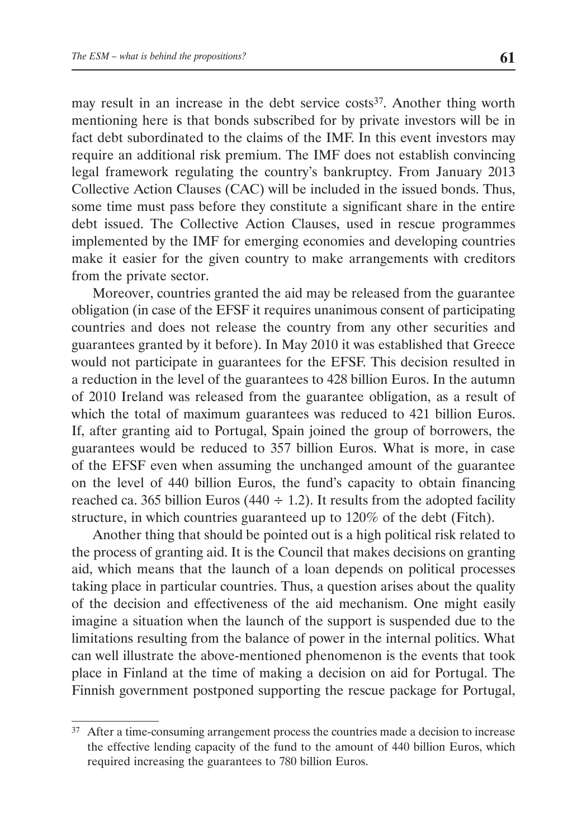may result in an increase in the debt service costs<sup>37</sup>. Another thing worth mentioning here is that bonds subscribed for by private investors will be in fact debt subordinated to the claims of the IMF. In this event investors may require an additional risk premium. The IMF does not establish convincing legal framework regulating the country's bankruptcy. From January 2013 Collective Action Clauses (CAC) will be included in the issued bonds. Thus, some time must pass before they constitute a significant share in the entire debt issued. The Collective Action Clauses, used in rescue programmes implemented by the IMF for emerging economies and developing countries make it easier for the given country to make arrangements with creditors from the private sector.

Moreover, countries granted the aid may be released from the guarantee obligation (in case of the EFSF it requires unanimous consent of participating countries and does not release the country from any other securities and guarantees granted by it before). In May 2010 it was established that Greece would not participate in guarantees for the EFSF. This decision resulted in a reduction in the level of the guarantees to 428 billion Euros. In the autumn of 2010 Ireland was released from the guarantee obligation, as a result of which the total of maximum guarantees was reduced to 421 billion Euros. If, after granting aid to Portugal, Spain joined the group of borrowers, the guarantees would be reduced to 357 billion Euros. What is more, in case of the EFSF even when assuming the unchanged amount of the guarantee on the level of 440 billion Euros, the fund's capacity to obtain financing reached ca. 365 billion Euros (440  $\div$  1.2). It results from the adopted facility structure, in which countries guaranteed up to 120% of the debt (Fitch).

Another thing that should be pointed out is a high political risk related to the process of granting aid. It is the Council that makes decisions on granting aid, which means that the launch of a loan depends on political processes taking place in particular countries. Thus, a question arises about the quality of the decision and effectiveness of the aid mechanism. One might easily imagine a situation when the launch of the support is suspended due to the limitations resulting from the balance of power in the internal politics. What can well illustrate the above-mentioned phenomenon is the events that took place in Finland at the time of making a decision on aid for Portugal. The Finnish government postponed supporting the rescue package for Portugal,

<sup>&</sup>lt;sup>37</sup> After a time-consuming arrangement process the countries made a decision to increase the effective lending capacity of the fund to the amount of 440 billion Euros, which required increasing the guarantees to 780 billion Euros.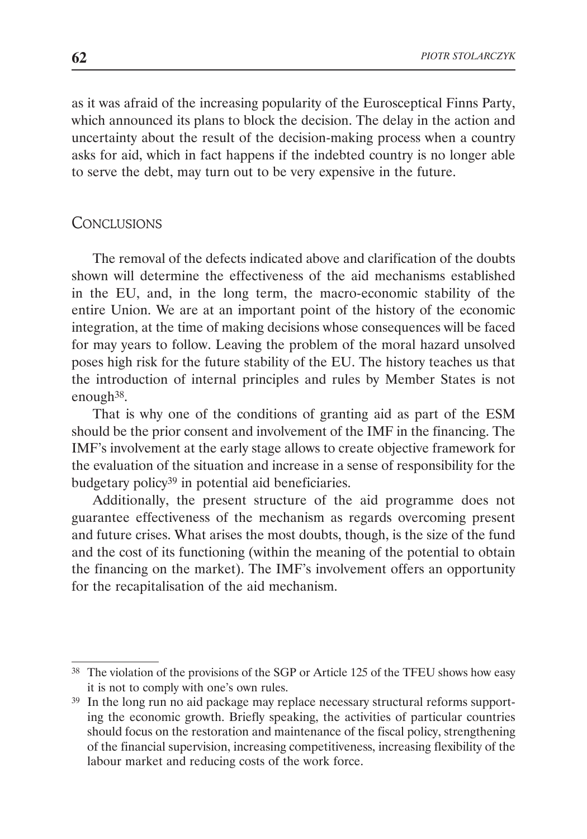as it was afraid of the increasing popularity of the Eurosceptical Finns Party, which announced its plans to block the decision. The delay in the action and uncertainty about the result of the decision-making process when a country asks for aid, which in fact happens if the indebted country is no longer able to serve the debt, may turn out to be very expensive in the future.

### **CONCLUSIONS**

The removal of the defects indicated above and clarification of the doubts shown will determine the effectiveness of the aid mechanisms established in the EU, and, in the long term, the macro-economic stability of the entire Union. We are at an important point of the history of the economic integration, at the time of making decisions whose consequences will be faced for may years to follow. Leaving the problem of the moral hazard unsolved poses high risk for the future stability of the EU. The history teaches us that the introduction of internal principles and rules by Member States is not enough38.

That is why one of the conditions of granting aid as part of the ESM should be the prior consent and involvement of the IMF in the financing. The IMF's involvement at the early stage allows to create objective framework for the evaluation of the situation and increase in a sense of responsibility for the budgetary policy39 in potential aid beneficiaries.

Additionally, the present structure of the aid programme does not guarantee effectiveness of the mechanism as regards overcoming present and future crises. What arises the most doubts, though, is the size of the fund and the cost of its functioning (within the meaning of the potential to obtain the financing on the market). The IMF's involvement offers an opportunity for the recapitalisation of the aid mechanism.

<sup>&</sup>lt;sup>38</sup> The violation of the provisions of the SGP or Article 125 of the TFEU shows how easy it is not to comply with one's own rules.

<sup>39</sup> In the long run no aid package may replace necessary structural reforms supporting the economic growth. Briefly speaking, the activities of particular countries should focus on the restoration and maintenance of the fiscal policy, strengthening of the financial supervision, increasing competitiveness, increasing flexibility of the labour market and reducing costs of the work force.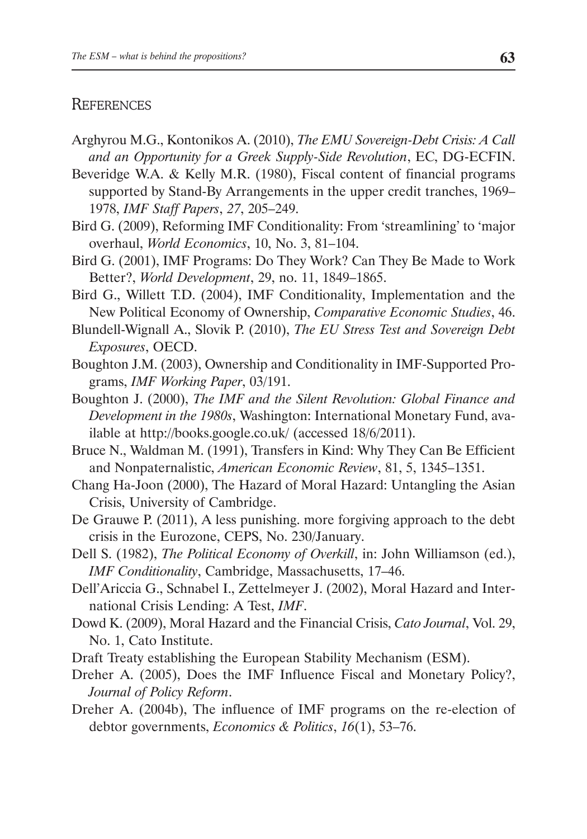### **REFERENCES**

- Arghyrou M.G., Kontonikos A. (2010), *The EMU Sovereign-Debt Crisis: A Call and an Opportunity for a Greek Supply-Side Revolution*, EC, DG-ECFIN.
- Beveridge W.A. & Kelly M.R. (1980), Fiscal content of financial programs supported by Stand-By Arrangements in the upper credit tranches, 1969– 1978, *IMF Staff Papers*, *27*, 205–249.
- Bird G. (2009), Reforming IMF Conditionality: From 'streamlining' to 'major overhaul, *World Economics*, 10, No. 3, 81–104.
- Bird G. (2001), IMF Programs: Do They Work? Can They Be Made to Work Better?, *World Development*, 29, no. 11, 1849–1865.
- Bird G., Willett T.D. (2004), IMF Conditionality, Implementation and the New Political Economy of Ownership, *Comparative Economic Studies*, 46.
- Blundell-Wignall A., Slovik P. (2010), *The EU Stress Test and Sovereign Debt Exposures*, OECD.
- Boughton J.M. (2003), Ownership and Conditionality in IMF-Supported Programs, *IMF Working Paper*, 03/191.
- Boughton J. (2000), *The IMF and the Silent Revolution: Global Finance and Development in the 1980s*, Washington: International Monetary Fund, available at http://books.google.co.uk/ (accessed 18/6/2011).
- Bruce N., Waldman M. (1991), Transfers in Kind: Why They Can Be Efficient and Nonpaternalistic, *American Economic Review*, 81, 5, 1345–1351.
- Chang Ha-Joon (2000), The Hazard of Moral Hazard: Untangling the Asian Crisis, University of Cambridge.
- De Grauwe P. (2011), A less punishing. more forgiving approach to the debt crisis in the Eurozone, CEPS, No. 230/January.
- Dell S. (1982), *The Political Economy of Overkill*, in: John Williamson (ed.), *IMF Conditionality*, Cambridge, Massachusetts, 17–46.
- Dell'Ariccia G., Schnabel I., Zettelmeyer J. (2002), Moral Hazard and International Crisis Lending: A Test, *IMF*.
- Dowd K. (2009), Moral Hazard and the Financial Crisis, *Cato Journal*, Vol. 29, No. 1, Cato Institute.
- Draft Treaty establishing the European Stability Mechanism (ESM).
- Dreher A. (2005), Does the IMF Influence Fiscal and Monetary Policy?, *Journal of Policy Reform*.
- Dreher A. (2004b), The influence of IMF programs on the re-election of debtor governments, *Economics & Politics*, *16*(1), 53–76.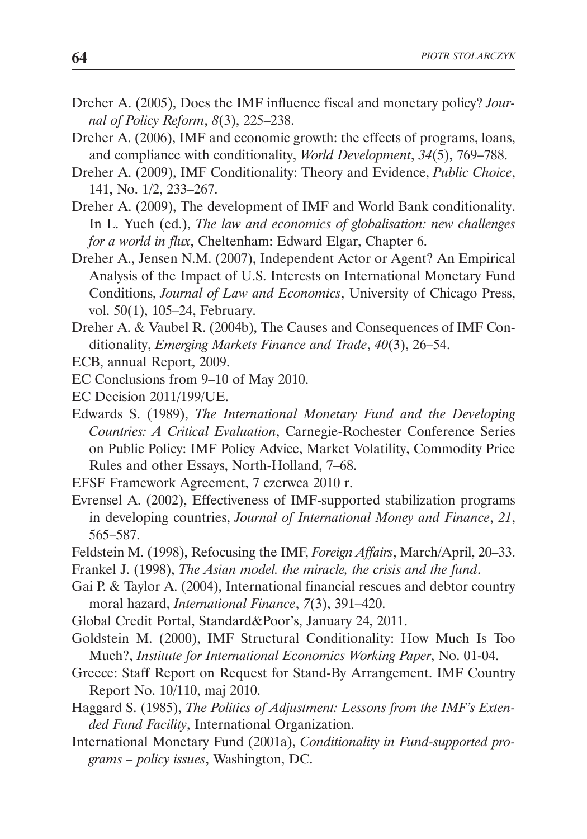- Dreher A. (2005), Does the IMF influence fiscal and monetary policy? *Journal of Policy Reform*, *8*(3), 225–238.
- Dreher A. (2006), IMF and economic growth: the effects of programs, loans, and compliance with conditionality, *World Development*, *34*(5), 769–788.
- Dreher A. (2009), IMF Conditionality: Theory and Evidence, *Public Choice*, 141, No. 1/2, 233–267.
- Dreher A. (2009), The development of IMF and World Bank conditionality. In L. Yueh (ed.), *The law and economics of globalisation: new challenges for a world in flux*, Cheltenham: Edward Elgar, Chapter 6.
- Dreher A., Jensen N.M. (2007), Independent Actor or Agent? An Empirical Analysis of the Impact of U.S. Interests on International Monetary Fund Conditions, *Journal of Law and Economics*, University of Chicago Press, vol. 50(1), 105–24, February.
- Dreher A. & Vaubel R. (2004b), The Causes and Consequences of IMF Conditionality, *Emerging Markets Finance and Trade*, *40*(3), 26–54.
- ECB, annual Report, 2009.
- EC Conclusions from 9–10 of May 2010.
- EC Decision 2011/199/UE.
- Edwards S. (1989), *The International Monetary Fund and the Developing Countries: A Critical Evaluation*, Carnegie-Rochester Conference Series on Public Policy: IMF Policy Advice, Market Volatility, Commodity Price Rules and other Essays, North-Holland, 7–68.
- EFSF Framework Agreement, 7 czerwca 2010 r.
- Evrensel A. (2002), Effectiveness of IMF-supported stabilization programs in developing countries, *Journal of International Money and Finance*, *21*, 565–587.
- Feldstein M. (1998), Refocusing the IMF, *Foreign Affairs*, March/April, 20–33.
- Frankel J. (1998), *The Asian model. the miracle, the crisis and the fund*.
- Gai P. & Taylor A. (2004), International financial rescues and debtor country moral hazard, *International Finance*, *7*(3), 391–420.
- Global Credit Portal, Standard&Poor's, January 24, 2011.
- Goldstein M. (2000), IMF Structural Conditionality: How Much Is Too Much?, *Institute for International Economics Working Paper*, No. 01-04.
- Greece: Staff Report on Request for Stand-By Arrangement. IMF Country Report No. 10/110, maj 2010.
- Haggard S. (1985), *The Politics of Adjustment: Lessons from the IMF's Extended Fund Facility*, International Organization.
- International Monetary Fund (2001a), *Conditionality in Fund-supported programs – policy issues*, Washington, DC.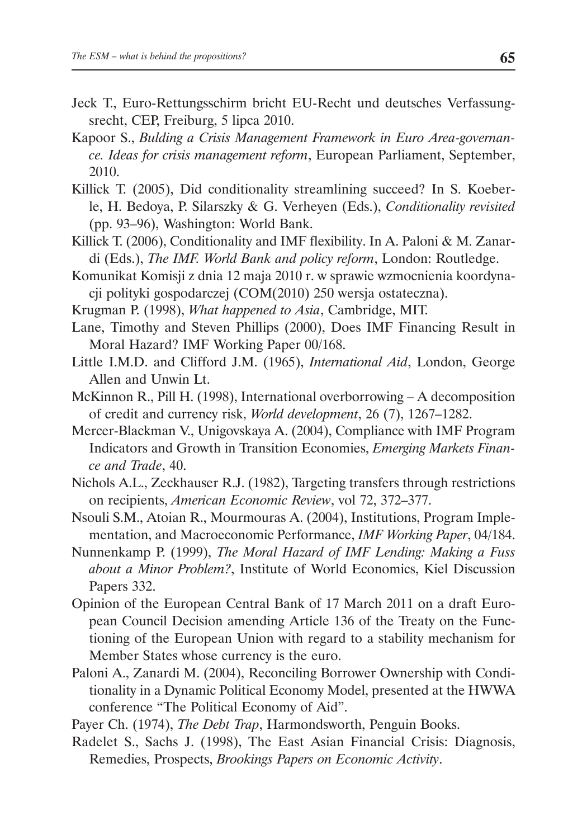- Jeck T., Euro-Rettungsschirm bricht EU-Recht und deutsches Verfassungsrecht, CEP, Freiburg, 5 lipca 2010.
- Kapoor S., *Bulding a Crisis Management Framework in Euro Area-governance. Ideas for crisis management reform*, European Parliament, September, 2010.
- Killick T. (2005), Did conditionality streamlining succeed? In S. Koeberle, H. Bedoya, P. Silarszky & G. Verheyen (Eds.), *Conditionality revisited*  (pp. 93–96), Washington: World Bank.
- Killick T. (2006), Conditionality and IMF flexibility. In A. Paloni & M. Zanardi (Eds.), *The IMF. World Bank and policy reform*, London: Routledge.
- Komunikat Komisji z dnia 12 maja 2010 r. w sprawie wzmocnienia koordynacji polityki gospodarczej (COM(2010) 250 wersja ostateczna).
- Krugman P. (1998), *What happened to Asia*, Cambridge, MIT.
- Lane, Timothy and Steven Phillips (2000), Does IMF Financing Result in Moral Hazard? IMF Working Paper 00/168.
- Little I.M.D. and Clifford J.M. (1965), *International Aid*, London, George Allen and Unwin Lt.
- McKinnon R., Pill H. (1998), International overborrowing A decomposition of credit and currency risk, *World development*, 26 (7), 1267–1282.
- Mercer-Blackman V., Unigovskaya A. (2004), Compliance with IMF Program Indicators and Growth in Transition Economies, *Emerging Markets Finance and Trade*, 40.
- Nichols A.L., Zeckhauser R.J. (1982), Targeting transfers through restrictions on recipients, *American Economic Review*, vol 72, 372–377.
- Nsouli S.M., Atoian R., Mourmouras A. (2004), Institutions, Program Implementation, and Macroeconomic Performance, *IMF Working Paper*, 04/184.
- Nunnenkamp P. (1999), *The Moral Hazard of IMF Lending: Making a Fuss about a Minor Problem?*, Institute of World Economics, Kiel Discussion Papers 332.
- Opinion of the European Central Bank of 17 March 2011 on a draft European Council Decision amending Article 136 of the Treaty on the Functioning of the European Union with regard to a stability mechanism for Member States whose currency is the euro.
- Paloni A., Zanardi M. (2004), Reconciling Borrower Ownership with Conditionality in a Dynamic Political Economy Model, presented at the HWWA conference "The Political Economy of Aid".
- Payer Ch. (1974), *The Debt Trap*, Harmondsworth, Penguin Books.
- Radelet S., Sachs J. (1998), The East Asian Financial Crisis: Diagnosis, Remedies, Prospects, *Brookings Papers on Economic Activity*.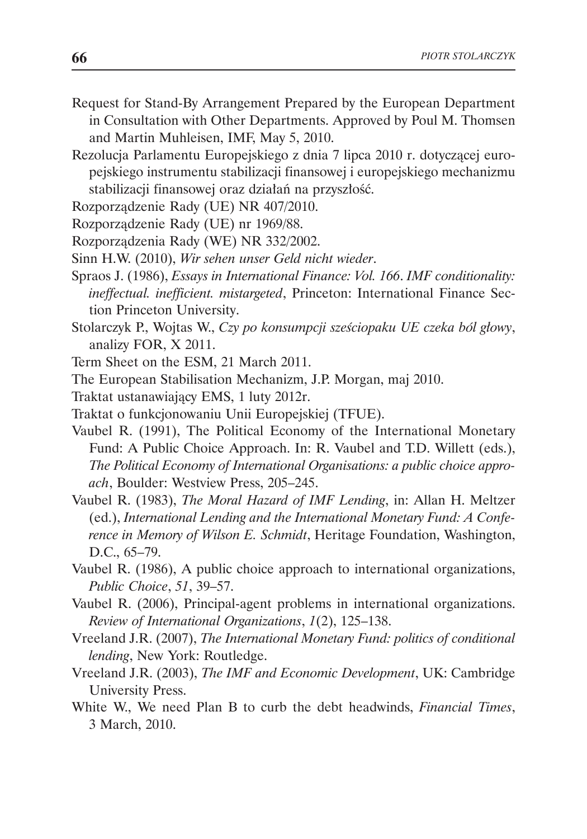- Request for Stand-By Arrangement Prepared by the European Department in Consultation with Other Departments. Approved by Poul M. Thomsen and Martin Muhleisen, IMF, May 5, 2010.
- Rezolucja Parlamentu Europejskiego z dnia 7 lipca 2010 r. dotyczącej europejskiego instrumentu stabilizacji finansowej i europejskiego mechanizmu stabilizacji finansowej oraz działań na przyszłość.
- Rozporządzenie Rady (UE) NR 407/2010.
- Rozporządzenie Rady (UE) nr 1969/88.
- Rozporządzenia Rady (WE) NR 332/2002.
- Sinn H.W. (2010), *Wir sehen unser Geld nicht wieder*.
- Spraos J. (1986), *Essays in International Finance: Vol. 166*. *IMF conditionality: ineffectual. inefficient. mistargeted*, Princeton: International Finance Section Princeton University.
- Stolarczyk P., Wojtas W., *Czy po konsumpcji sześciopaku UE czeka ból głowy*, analizy FOR, X 2011.
- Term Sheet on the ESM, 21 March 2011.
- The European Stabilisation Mechanizm, J.P. Morgan, maj 2010.
- Traktat ustanawiający EMS, 1 luty 2012r.
- Traktat o funkcjonowaniu Unii Europejskiej (TFUE).
- Vaubel R. (1991), The Political Economy of the International Monetary Fund: A Public Choice Approach. In: R. Vaubel and T.D. Willett (eds.), *The Political Economy of International Organisations: a public choice approach*, Boulder: Westview Press, 205–245.
- Vaubel R. (1983), *The Moral Hazard of IMF Lending*, in: Allan H. Meltzer (ed.), *International Lending and the International Monetary Fund: A Conference in Memory of Wilson E. Schmidt*, Heritage Foundation, Washington, D.C., 65–79.
- Vaubel R. (1986), A public choice approach to international organizations, *Public Choice*, *51*, 39–57.
- Vaubel R. (2006), Principal-agent problems in international organizations. *Review of International Organizations*, *1*(2), 125–138.
- Vreeland J.R. (2007), *The International Monetary Fund: politics of conditional lending*, New York: Routledge.
- Vreeland J.R. (2003), *The IMF and Economic Development*, UK: Cambridge University Press.
- White W., We need Plan B to curb the debt headwinds, *Financial Times*, 3 March, 2010.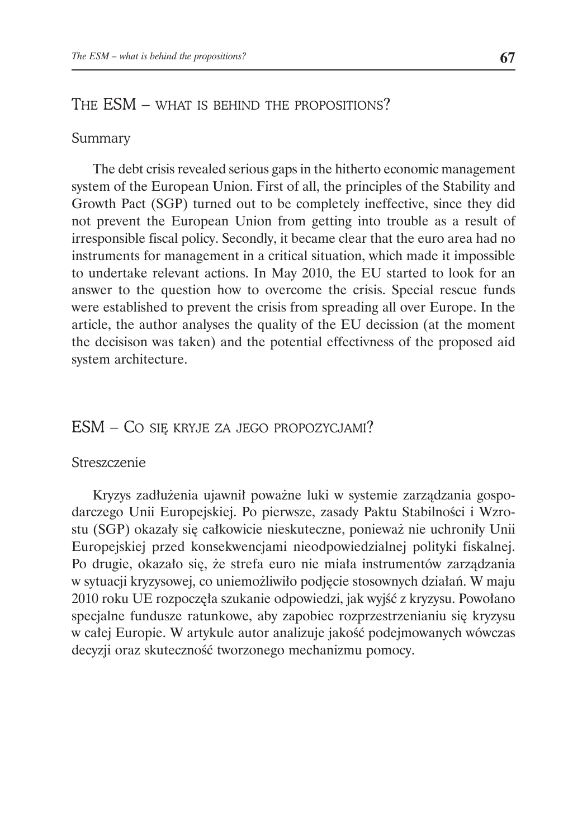# THE ESM – WHAT IS BEHIND THE PROPOSITIONS?

#### Summary

The debt crisis revealed serious gaps in the hitherto economic management system of the European Union. First of all, the principles of the Stability and Growth Pact (SGP) turned out to be completely ineffective, since they did not prevent the European Union from getting into trouble as a result of irresponsible fiscal policy. Secondly, it became clear that the euro area had no instruments for management in a critical situation, which made it impossible to undertake relevant actions. In May 2010, the EU started to look for an answer to the question how to overcome the crisis. Special rescue funds were established to prevent the crisis from spreading all over Europe. In the article, the author analyses the quality of the EU decission (at the moment the decisison was taken) and the potential effectivness of the proposed aid system architecture.

# ESM – CO SIĘ KRYJE ZA JEGO PROPOZYCJAMI?

#### Streszczenie

Kryzys zadłużenia ujawnił poważne luki w systemie zarządzania gospodarczego Unii Europejskiej. Po pierwsze, zasady Paktu Stabilności i Wzrostu (SGP) okazały się całkowicie nieskuteczne, ponieważ nie uchroniły Unii Europejskiej przed konsekwencjami nieodpowiedzialnej polityki fiskalnej. Po drugie, okazało się, że strefa euro nie miała instrumentów zarządzania w sytuacji kryzysowej, co uniemożliwiło podjęcie stosownych działań. W maju 2010 roku UE rozpoczęła szukanie odpowiedzi, jak wyjść z kryzysu. Powołano specjalne fundusze ratunkowe, aby zapobiec rozprzestrzenianiu się kryzysu w całej Europie. W artykule autor analizuje jakość podejmowanych wówczas decyzji oraz skuteczność tworzonego mechanizmu pomocy.